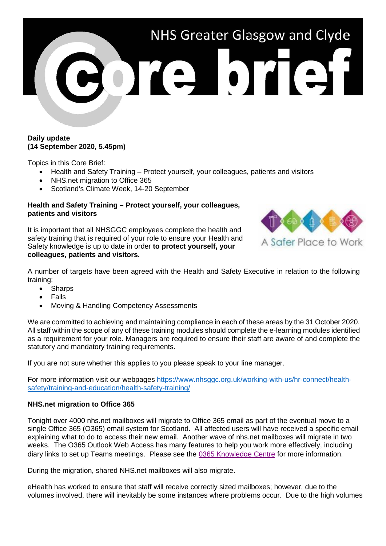

## **Daily update (14 September 2020, 5.45pm)**

Topics in this Core Brief:

- Health and Safety Training Protect yourself, your colleagues, patients and visitors
- NHS.net migration to Office 365
- Scotland's Climate Week, 14-20 September

## **Health and Safety Training – Protect yourself, your colleagues, patients and visitors**

It is important that all NHSGGC employees complete the health and safety training that is required of your role to ensure your Health and Safety knowledge is up to date in order **to protect yourself, your colleagues, patients and visitors.**



A number of targets have been agreed with the Health and Safety Executive in relation to the following training:

- Sharps
- Falls
- Moving & Handling Competency Assessments

We are committed to achieving and maintaining compliance in each of these areas by the 31 October 2020. All staff within the scope of any of these training modules should complete the e-learning modules identified as a requirement for your role. Managers are required to ensure their staff are aware of and complete the statutory and mandatory training requirements.

If you are not sure whether this applies to you please speak to your line manager.

For more information visit our webpages [https://www.nhsggc.org.uk/working-with-us/hr-connect/health](https://www.nhsggc.org.uk/working-with-us/hr-connect/health-safety/training-and-education/health-safety-training/)[safety/training-and-education/health-safety-training/](https://www.nhsggc.org.uk/working-with-us/hr-connect/health-safety/training-and-education/health-safety-training/)

## **NHS.net migration to Office 365**

Tonight over 4000 nhs.net mailboxes will migrate to Office 365 email as part of the eventual move to a single Office 365 (O365) email system for Scotland. All affected users will have received a specific email explaining what to do to access their new email. Another wave of nhs.net mailboxes will migrate in two weeks. The O365 Outlook Web Access has many features to help you work more effectively, including diary links to set up Teams meetings. Please see the [0365 Knowledge Centre](https://scottish.sharepoint.com/sites/GGC-Office365KnowledgeCentre) for more information.

During the migration, shared NHS.net mailboxes will also migrate.

eHealth has worked to ensure that staff will receive correctly sized mailboxes; however, due to the volumes involved, there will inevitably be some instances where problems occur. Due to the high volumes